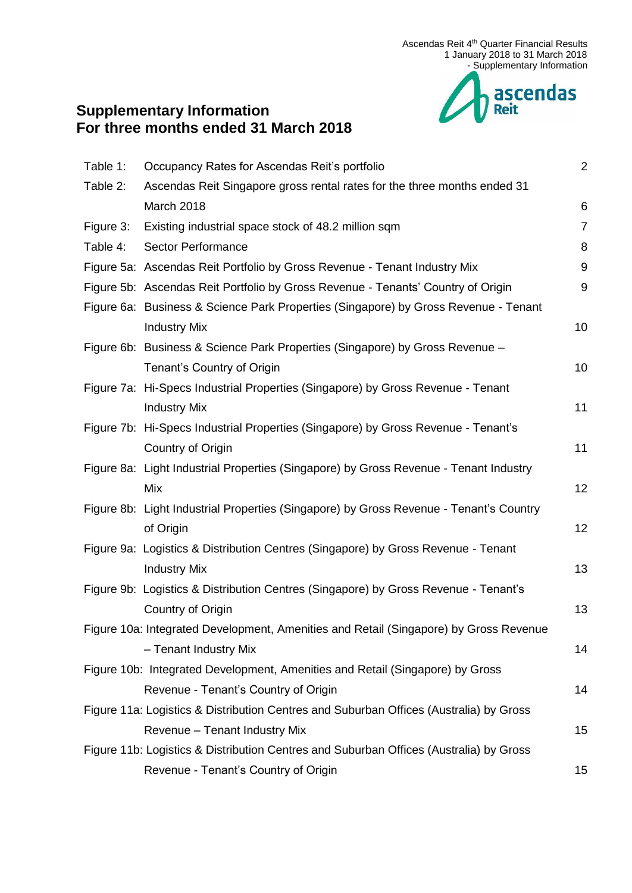

# **Supplementary Information For three months ended 31 March 2018**

| Table 1:  | Occupancy Rates for Ascendas Reit's portfolio                                          | $\overline{2}$   |
|-----------|----------------------------------------------------------------------------------------|------------------|
| Table 2:  | Ascendas Reit Singapore gross rental rates for the three months ended 31               |                  |
|           | March 2018                                                                             | $6\phantom{1}6$  |
| Figure 3: | Existing industrial space stock of 48.2 million sqm                                    | $\overline{7}$   |
| Table 4:  | Sector Performance                                                                     | 8                |
|           | Figure 5a: Ascendas Reit Portfolio by Gross Revenue - Tenant Industry Mix              | $\boldsymbol{9}$ |
|           | Figure 5b: Ascendas Reit Portfolio by Gross Revenue - Tenants' Country of Origin       | 9                |
|           | Figure 6a: Business & Science Park Properties (Singapore) by Gross Revenue - Tenant    |                  |
|           | <b>Industry Mix</b>                                                                    | 10               |
|           | Figure 6b: Business & Science Park Properties (Singapore) by Gross Revenue -           |                  |
|           | Tenant's Country of Origin                                                             | 10               |
|           | Figure 7a: Hi-Specs Industrial Properties (Singapore) by Gross Revenue - Tenant        |                  |
|           | <b>Industry Mix</b>                                                                    | 11               |
|           | Figure 7b: Hi-Specs Industrial Properties (Singapore) by Gross Revenue - Tenant's      |                  |
|           | Country of Origin                                                                      | 11               |
|           | Figure 8a: Light Industrial Properties (Singapore) by Gross Revenue - Tenant Industry  |                  |
|           | Mix                                                                                    | 12               |
|           | Figure 8b: Light Industrial Properties (Singapore) by Gross Revenue - Tenant's Country |                  |
|           | of Origin                                                                              | 12               |
|           | Figure 9a: Logistics & Distribution Centres (Singapore) by Gross Revenue - Tenant      |                  |
|           | <b>Industry Mix</b>                                                                    | 13               |
|           | Figure 9b: Logistics & Distribution Centres (Singapore) by Gross Revenue - Tenant's    |                  |
|           | Country of Origin                                                                      | 13               |
|           | Figure 10a: Integrated Development, Amenities and Retail (Singapore) by Gross Revenue  |                  |
|           | - Tenant Industry Mix                                                                  | 14               |
|           | Figure 10b: Integrated Development, Amenities and Retail (Singapore) by Gross          |                  |
|           | Revenue - Tenant's Country of Origin                                                   | 14               |
|           | Figure 11a: Logistics & Distribution Centres and Suburban Offices (Australia) by Gross |                  |
|           | Revenue - Tenant Industry Mix                                                          | 15               |
|           | Figure 11b: Logistics & Distribution Centres and Suburban Offices (Australia) by Gross |                  |
|           | Revenue - Tenant's Country of Origin                                                   | 15               |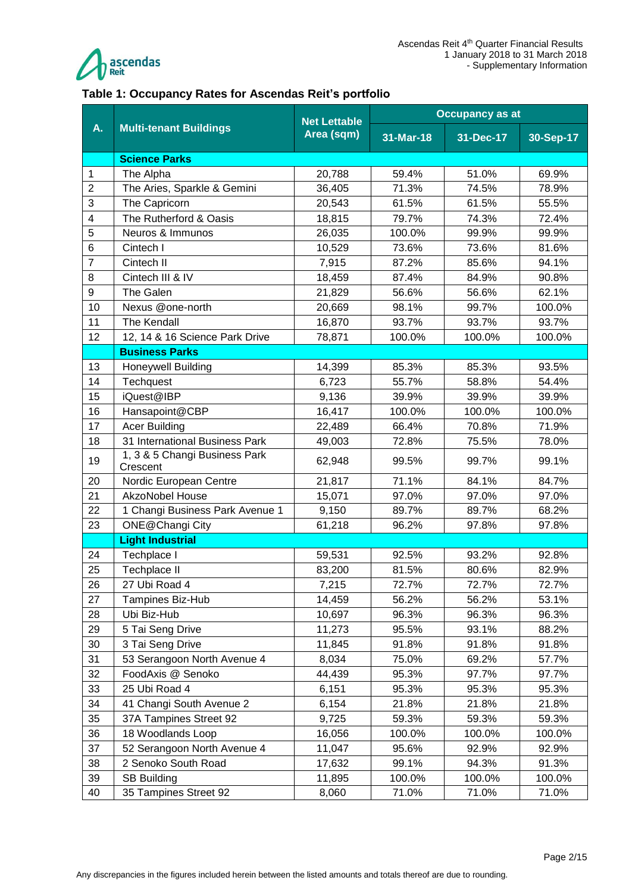

#### <span id="page-1-0"></span>**Table 1: Occupancy Rates for Ascendas Reit's portfolio**

|                | <b>Multi-tenant Buildings</b>             | <b>Net Lettable</b> |           | <b>Occupancy as at</b> |           |  |
|----------------|-------------------------------------------|---------------------|-----------|------------------------|-----------|--|
| A.             |                                           | Area (sqm)          | 31-Mar-18 | 31-Dec-17              | 30-Sep-17 |  |
|                | <b>Science Parks</b>                      |                     |           |                        |           |  |
| 1              | The Alpha                                 | 20,788              | 59.4%     | 51.0%                  | 69.9%     |  |
| $\overline{2}$ | The Aries, Sparkle & Gemini               | 36,405              | 71.3%     | 74.5%                  | 78.9%     |  |
| 3              | The Capricorn                             | 20,543              | 61.5%     | 61.5%                  | 55.5%     |  |
| 4              | The Rutherford & Oasis                    | 18,815              | 79.7%     | 74.3%                  | 72.4%     |  |
| 5              | Neuros & Immunos                          | 26,035              | 100.0%    | 99.9%                  | 99.9%     |  |
| 6              | Cintech I                                 | 10,529              | 73.6%     | 73.6%                  | 81.6%     |  |
| $\overline{7}$ | Cintech II                                | 7,915               | 87.2%     | 85.6%                  | 94.1%     |  |
| 8              | Cintech III & IV                          | 18,459              | 87.4%     | 84.9%                  | 90.8%     |  |
| 9              | The Galen                                 | 21,829              | 56.6%     | 56.6%                  | 62.1%     |  |
| 10             | Nexus @one-north                          | 20,669              | 98.1%     | 99.7%                  | 100.0%    |  |
| 11             | The Kendall                               | 16,870              | 93.7%     | 93.7%                  | 93.7%     |  |
| 12             | 12, 14 & 16 Science Park Drive            | 78,871              | 100.0%    | 100.0%                 | 100.0%    |  |
|                | <b>Business Parks</b>                     |                     |           |                        |           |  |
| 13             | <b>Honeywell Building</b>                 | 14,399              | 85.3%     | 85.3%                  | 93.5%     |  |
| 14             | Techquest                                 | 6,723               | 55.7%     | 58.8%                  | 54.4%     |  |
| 15             | iQuest@IBP                                | 9,136               | 39.9%     | 39.9%                  | 39.9%     |  |
| 16             | Hansapoint@CBP                            | 16,417              | 100.0%    | 100.0%                 | 100.0%    |  |
| 17             | <b>Acer Building</b>                      | 22,489              | 66.4%     | 70.8%                  | 71.9%     |  |
| 18             | 31 International Business Park            | 49,003              | 72.8%     | 75.5%                  | 78.0%     |  |
| 19             | 1, 3 & 5 Changi Business Park<br>Crescent | 62,948              | 99.5%     | 99.7%                  | 99.1%     |  |
| 20             | Nordic European Centre                    | 21,817              | 71.1%     | 84.1%                  | 84.7%     |  |
| 21             | <b>AkzoNobel House</b>                    | 15,071              | 97.0%     | 97.0%                  | 97.0%     |  |
| 22             | 1 Changi Business Park Avenue 1           | 9,150               | 89.7%     | 89.7%                  | 68.2%     |  |
| 23             | ONE@Changi City                           | 61,218              | 96.2%     | 97.8%                  | 97.8%     |  |
|                | <b>Light Industrial</b>                   |                     |           |                        |           |  |
| 24             | Techplace I                               | 59,531              | 92.5%     | 93.2%                  | 92.8%     |  |
| 25             | Techplace II                              | 83,200              | 81.5%     | 80.6%                  | 82.9%     |  |
| 26             | 27 Ubi Road 4                             | 7,215               | 72.7%     | 72.7%                  | 72.7%     |  |
| 27             | Tampines Biz-Hub                          | 14,459              | 56.2%     | 56.2%                  | 53.1%     |  |
| 28             | Ubi Biz-Hub                               | 10,697              | 96.3%     | 96.3%                  | 96.3%     |  |
| 29             | 5 Tai Seng Drive                          | 11,273              | 95.5%     | 93.1%                  | 88.2%     |  |
| 30             | 3 Tai Seng Drive                          | 11,845              | 91.8%     | 91.8%                  | 91.8%     |  |
| 31             | 53 Serangoon North Avenue 4               | 8,034               | 75.0%     | 69.2%                  | 57.7%     |  |
| 32             | FoodAxis @ Senoko                         | 44,439              | 95.3%     | 97.7%                  | 97.7%     |  |
| 33             | 25 Ubi Road 4                             | 6,151               | 95.3%     | 95.3%                  | 95.3%     |  |
| 34             | 41 Changi South Avenue 2                  | 6,154               | 21.8%     | 21.8%                  | 21.8%     |  |
| 35             | 37A Tampines Street 92                    | 9,725               | 59.3%     | 59.3%                  | 59.3%     |  |
| 36             | 18 Woodlands Loop                         | 16,056              | 100.0%    | 100.0%                 | 100.0%    |  |
| 37             | 52 Serangoon North Avenue 4               | 11,047              | 95.6%     | 92.9%                  | 92.9%     |  |
| 38             | 2 Senoko South Road                       | 17,632              | 99.1%     | 94.3%                  | 91.3%     |  |
| 39             | <b>SB Building</b>                        | 11,895              | 100.0%    | 100.0%                 | 100.0%    |  |
| 40             | 35 Tampines Street 92                     | 8,060               | 71.0%     | 71.0%                  | 71.0%     |  |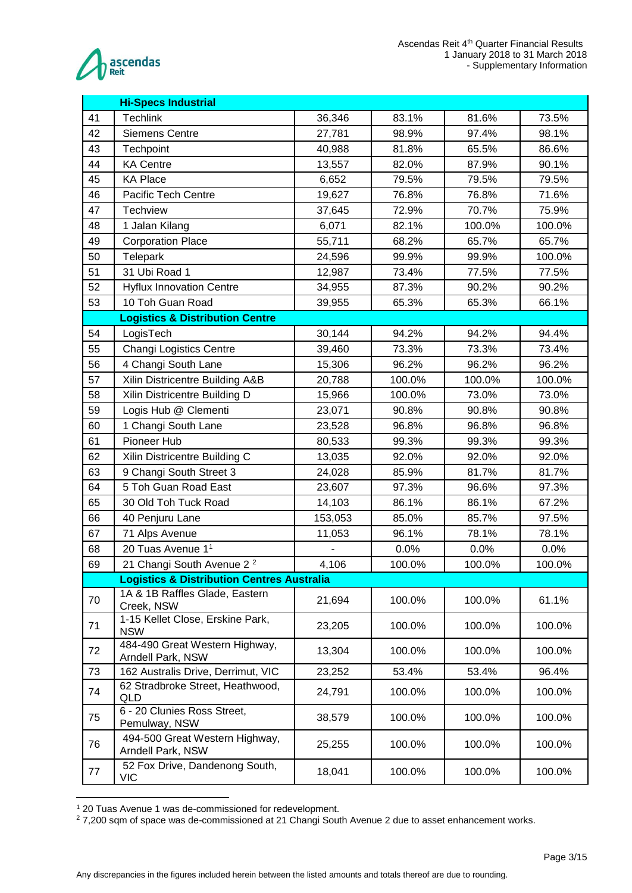

|    | <b>Hi-Specs Industrial</b>                            |         |                |        |        |
|----|-------------------------------------------------------|---------|----------------|--------|--------|
| 41 | <b>Techlink</b>                                       | 36,346  | 83.1%          | 81.6%  | 73.5%  |
| 42 | <b>Siemens Centre</b>                                 | 27,781  | 98.9%<br>97.4% |        | 98.1%  |
| 43 | Techpoint                                             | 40,988  | 81.8%          | 65.5%  | 86.6%  |
| 44 | <b>KA Centre</b>                                      | 13,557  | 82.0%          | 87.9%  | 90.1%  |
| 45 | <b>KA Place</b>                                       | 6,652   | 79.5%          | 79.5%  | 79.5%  |
| 46 | Pacific Tech Centre                                   | 19,627  | 76.8%          | 76.8%  | 71.6%  |
| 47 | Techview                                              | 37,645  | 72.9%          | 70.7%  | 75.9%  |
| 48 | 1 Jalan Kilang                                        | 6,071   | 82.1%          | 100.0% | 100.0% |
| 49 | <b>Corporation Place</b>                              | 55,711  | 68.2%          | 65.7%  | 65.7%  |
| 50 | Telepark                                              | 24,596  | 99.9%          | 99.9%  | 100.0% |
| 51 | 31 Ubi Road 1                                         | 12,987  | 73.4%          | 77.5%  | 77.5%  |
| 52 | <b>Hyflux Innovation Centre</b>                       | 34,955  | 87.3%          | 90.2%  | 90.2%  |
| 53 | 10 Toh Guan Road                                      | 39,955  | 65.3%          | 65.3%  | 66.1%  |
|    | <b>Logistics &amp; Distribution Centre</b>            |         |                |        |        |
| 54 | LogisTech                                             | 30,144  | 94.2%          | 94.2%  | 94.4%  |
| 55 | <b>Changi Logistics Centre</b>                        | 39,460  | 73.3%          | 73.3%  | 73.4%  |
| 56 | 4 Changi South Lane                                   | 15,306  | 96.2%          | 96.2%  | 96.2%  |
| 57 | Xilin Districentre Building A&B                       | 20,788  | 100.0%         | 100.0% | 100.0% |
| 58 | Xilin Districentre Building D                         | 15,966  | 100.0%         | 73.0%  | 73.0%  |
| 59 | Logis Hub @ Clementi                                  | 23,071  | 90.8%          | 90.8%  | 90.8%  |
| 60 | 1 Changi South Lane                                   | 23,528  | 96.8%          | 96.8%  | 96.8%  |
| 61 | Pioneer Hub                                           | 80,533  | 99.3%          | 99.3%  | 99.3%  |
| 62 | Xilin Districentre Building C                         | 13,035  | 92.0%          | 92.0%  | 92.0%  |
| 63 | 9 Changi South Street 3                               | 24,028  | 85.9%          | 81.7%  | 81.7%  |
| 64 | 5 Toh Guan Road East                                  | 23,607  | 97.3%          | 96.6%  | 97.3%  |
| 65 | 30 Old Toh Tuck Road                                  | 14,103  | 86.1%          | 86.1%  | 67.2%  |
| 66 | 40 Penjuru Lane                                       | 153,053 | 85.0%          | 85.7%  | 97.5%  |
| 67 | 71 Alps Avenue                                        | 11,053  | 96.1%          | 78.1%  | 78.1%  |
| 68 | 20 Tuas Avenue 1 <sup>1</sup>                         |         | 0.0%           | 0.0%   | 0.0%   |
| 69 | 21 Changi South Avenue 2 <sup>2</sup>                 | 4,106   | 100.0%         | 100.0% | 100.0% |
|    | <b>Logistics &amp; Distribution Centres Australia</b> |         |                |        |        |
| 70 | 1A & 1B Raffles Glade, Eastern<br>Creek, NSW          | 21,694  | 100.0%         | 100.0% | 61.1%  |
| 71 | 1-15 Kellet Close, Erskine Park,<br><b>NSW</b>        | 23,205  | 100.0%         | 100.0% | 100.0% |
| 72 | 484-490 Great Western Highway,<br>Arndell Park, NSW   | 13,304  | 100.0%         | 100.0% | 100.0% |
| 73 | 162 Australis Drive, Derrimut, VIC                    | 23,252  | 53.4%          | 53.4%  | 96.4%  |
| 74 | 62 Stradbroke Street, Heathwood,<br>QLD               | 24,791  | 100.0%         | 100.0% | 100.0% |
| 75 | 6 - 20 Clunies Ross Street,<br>Pemulway, NSW          | 38,579  | 100.0%         | 100.0% | 100.0% |
| 76 | 494-500 Great Western Highway,<br>Arndell Park, NSW   | 25,255  | 100.0%         | 100.0% | 100.0% |
| 77 | 52 Fox Drive, Dandenong South,<br><b>VIC</b>          | 18,041  | 100.0%         | 100.0% | 100.0% |

<sup>1</sup> 20 Tuas Avenue 1 was de-commissioned for redevelopment.

<u>.</u>

 $27,200$  sqm of space was de-commissioned at 21 Changi South Avenue 2 due to asset enhancement works.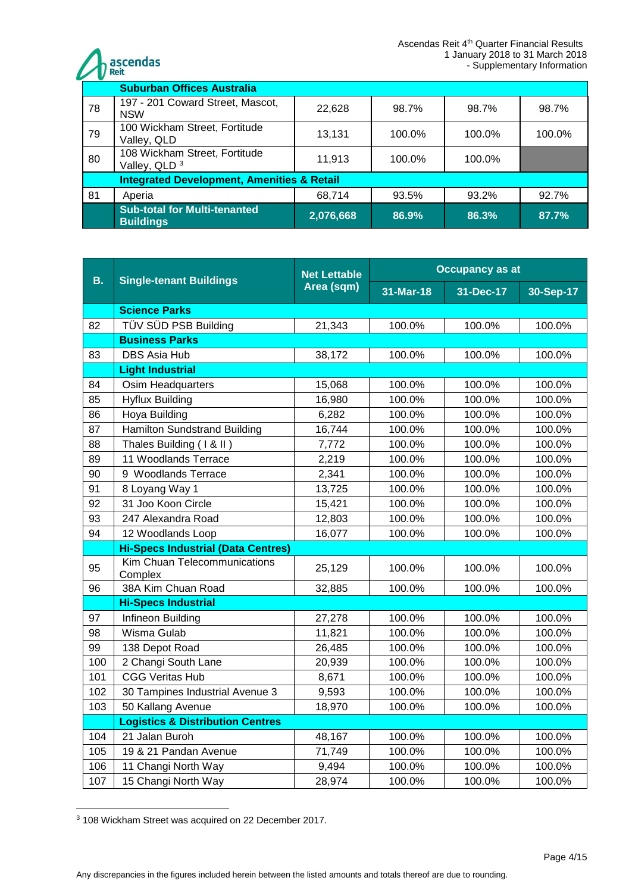

|    | <b>Suburban Offices Australia</b>                         |           |        |        |        |  |  |
|----|-----------------------------------------------------------|-----------|--------|--------|--------|--|--|
| 78 | 197 - 201 Coward Street, Mascot,<br><b>NSW</b>            | 22,628    | 98.7%  | 98.7%  | 98.7%  |  |  |
| 79 | 100 Wickham Street, Fortitude<br>Valley, QLD              | 13,131    | 100.0% | 100.0% | 100.0% |  |  |
| 80 | 108 Wickham Street, Fortitude<br>Valley, QLD <sup>3</sup> | 11,913    | 100.0% | 100.0% |        |  |  |
|    | <b>Integrated Development, Amenities &amp; Retail</b>     |           |        |        |        |  |  |
| 81 | Aperia                                                    | 68,714    | 93.5%  | 93.2%  | 92.7%  |  |  |
|    | <b>Sub-total for Multi-tenanted</b><br><b>Buildings</b>   | 2,076,668 | 86.9%  | 86.3%  | 87.7%  |  |  |

|           | <b>Single-tenant Buildings</b>              | <b>Net Lettable</b><br>Area (sqm) | <b>Occupancy as at</b> |           |           |  |
|-----------|---------------------------------------------|-----------------------------------|------------------------|-----------|-----------|--|
| <b>B.</b> |                                             |                                   | 31-Mar-18              | 31-Dec-17 | 30-Sep-17 |  |
|           | <b>Science Parks</b>                        |                                   |                        |           |           |  |
| 82        | TÜV SÜD PSB Building                        | 21,343                            | 100.0%                 | 100.0%    | 100.0%    |  |
|           | <b>Business Parks</b>                       |                                   |                        |           |           |  |
| 83        | <b>DBS Asia Hub</b>                         | 38,172                            | 100.0%                 | 100.0%    | 100.0%    |  |
|           | <b>Light Industrial</b>                     |                                   |                        |           |           |  |
| 84        | <b>Osim Headquarters</b>                    | 15,068                            | 100.0%                 | 100.0%    | 100.0%    |  |
| 85        | <b>Hyflux Building</b>                      | 16,980                            | 100.0%                 | 100.0%    | 100.0%    |  |
| 86        | Hoya Building                               | 6,282                             | 100.0%                 | 100.0%    | 100.0%    |  |
| 87        | <b>Hamilton Sundstrand Building</b>         | 16,744                            | 100.0%                 | 100.0%    | 100.0%    |  |
| 88        | Thales Building (1 & II)                    | 7,772                             | 100.0%                 | 100.0%    | 100.0%    |  |
| 89        | 11 Woodlands Terrace                        | 2,219                             | 100.0%                 | 100.0%    | 100.0%    |  |
| 90        | 9 Woodlands Terrace                         | 2,341                             | 100.0%                 | 100.0%    | 100.0%    |  |
| 91        | 8 Loyang Way 1                              | 13,725                            | 100.0%                 | 100.0%    | 100.0%    |  |
| 92        | 31 Joo Koon Circle                          | 15,421                            | 100.0%                 | 100.0%    | 100.0%    |  |
| 93        | 247 Alexandra Road                          | 12,803                            | 100.0%                 | 100.0%    | 100.0%    |  |
| 94        | 12 Woodlands Loop                           | 16,077                            | 100.0%                 | 100.0%    | 100.0%    |  |
|           | <b>Hi-Specs Industrial (Data Centres)</b>   |                                   |                        |           |           |  |
| 95        | Kim Chuan Telecommunications<br>Complex     | 25,129                            | 100.0%                 | 100.0%    | 100.0%    |  |
| 96        | 38A Kim Chuan Road                          | 32,885                            | 100.0%                 | 100.0%    | 100.0%    |  |
|           | <b>Hi-Specs Industrial</b>                  |                                   |                        |           |           |  |
| 97        | Infineon Building                           | 27,278                            | 100.0%                 | 100.0%    | 100.0%    |  |
| 98        | Wisma Gulab                                 | 11,821                            | 100.0%                 | 100.0%    | 100.0%    |  |
| 99        | 138 Depot Road                              | 26,485                            | 100.0%                 | 100.0%    | 100.0%    |  |
| 100       | 2 Changi South Lane                         | 20,939                            | 100.0%                 | 100.0%    | 100.0%    |  |
| 101       | <b>CGG Veritas Hub</b>                      | 8,671                             | 100.0%                 | 100.0%    | 100.0%    |  |
| 102       | 30 Tampines Industrial Avenue 3             | 9,593                             | 100.0%                 | 100.0%    | 100.0%    |  |
| 103       | 50 Kallang Avenue                           | 18,970                            | 100.0%                 | 100.0%    | 100.0%    |  |
|           | <b>Logistics &amp; Distribution Centres</b> |                                   |                        |           |           |  |
| 104       | 21 Jalan Buroh                              | 48,167                            | 100.0%                 | 100.0%    | 100.0%    |  |
| 105       | 19 & 21 Pandan Avenue                       | 71,749                            | 100.0%                 | 100.0%    | 100.0%    |  |
| 106       | 11 Changi North Way                         | 9,494                             | 100.0%                 | 100.0%    | 100.0%    |  |
| 107       | 15 Changi North Way                         | 28,974                            | 100.0%                 | 100.0%    | 100.0%    |  |

<sup>1</sup> <sup>3</sup> 108 Wickham Street was acquired on 22 December 2017.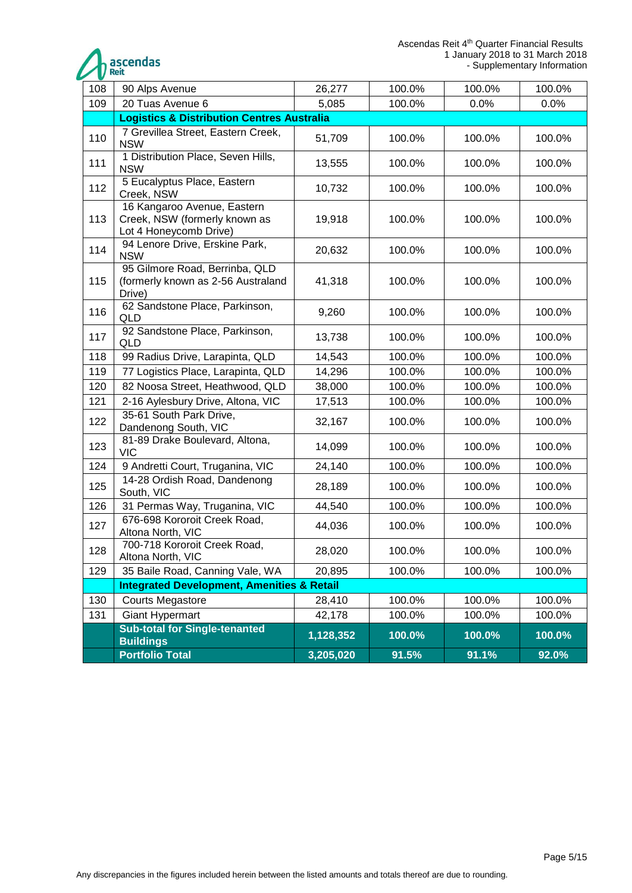

| 108 | 90 Alps Avenue                                                                         | 26,277    | 100.0% | 100.0% | 100.0% |  |  |
|-----|----------------------------------------------------------------------------------------|-----------|--------|--------|--------|--|--|
| 109 | 20 Tuas Avenue 6                                                                       | 5,085     | 100.0% | 0.0%   | 0.0%   |  |  |
|     | <b>Logistics &amp; Distribution Centres Australia</b>                                  |           |        |        |        |  |  |
| 110 | 7 Grevillea Street, Eastern Creek,<br><b>NSW</b>                                       | 51,709    | 100.0% | 100.0% | 100.0% |  |  |
| 111 | 1 Distribution Place, Seven Hills,<br><b>NSW</b>                                       | 13,555    | 100.0% | 100.0% | 100.0% |  |  |
| 112 | 5 Eucalyptus Place, Eastern<br>Creek, NSW                                              | 10,732    | 100.0% | 100.0% | 100.0% |  |  |
| 113 | 16 Kangaroo Avenue, Eastern<br>Creek, NSW (formerly known as<br>Lot 4 Honeycomb Drive) | 19,918    | 100.0% | 100.0% | 100.0% |  |  |
| 114 | 94 Lenore Drive, Erskine Park,<br><b>NSW</b>                                           | 20,632    | 100.0% | 100.0% | 100.0% |  |  |
| 115 | 95 Gilmore Road, Berrinba, QLD<br>(formerly known as 2-56 Australand<br>Drive)         | 41,318    | 100.0% | 100.0% | 100.0% |  |  |
| 116 | 62 Sandstone Place, Parkinson,<br>QLD                                                  | 9,260     | 100.0% | 100.0% | 100.0% |  |  |
| 117 | 92 Sandstone Place, Parkinson,<br>QLD                                                  | 13,738    | 100.0% | 100.0% | 100.0% |  |  |
| 118 | 99 Radius Drive, Larapinta, QLD                                                        | 14,543    | 100.0% | 100.0% | 100.0% |  |  |
| 119 | 77 Logistics Place, Larapinta, QLD                                                     | 14,296    | 100.0% | 100.0% | 100.0% |  |  |
| 120 | 82 Noosa Street, Heathwood, QLD                                                        | 38,000    | 100.0% | 100.0% | 100.0% |  |  |
| 121 | 2-16 Aylesbury Drive, Altona, VIC                                                      | 17,513    | 100.0% | 100.0% | 100.0% |  |  |
| 122 | 35-61 South Park Drive,<br>Dandenong South, VIC                                        | 32,167    | 100.0% | 100.0% | 100.0% |  |  |
| 123 | 81-89 Drake Boulevard, Altona,<br><b>VIC</b>                                           | 14,099    | 100.0% | 100.0% | 100.0% |  |  |
| 124 | 9 Andretti Court, Truganina, VIC                                                       | 24,140    | 100.0% | 100.0% | 100.0% |  |  |
| 125 | 14-28 Ordish Road, Dandenong<br>South, VIC                                             | 28,189    | 100.0% | 100.0% | 100.0% |  |  |
| 126 | 31 Permas Way, Truganina, VIC                                                          | 44,540    | 100.0% | 100.0% | 100.0% |  |  |
| 127 | 676-698 Kororoit Creek Road,<br>Altona North, VIC                                      | 44,036    | 100.0% | 100.0% | 100.0% |  |  |
| 128 | 700-718 Kororoit Creek Road,<br>Altona North, VIC                                      | 28,020    | 100.0% | 100.0% | 100.0% |  |  |
| 129 | 35 Baile Road, Canning Vale, WA                                                        | 20,895    | 100.0% | 100.0% | 100.0% |  |  |
|     | <b>Integrated Development, Amenities &amp; Retail</b>                                  |           |        |        |        |  |  |
| 130 | <b>Courts Megastore</b>                                                                | 28,410    | 100.0% | 100.0% | 100.0% |  |  |
| 131 | <b>Giant Hypermart</b>                                                                 | 42,178    | 100.0% | 100.0% | 100.0% |  |  |
|     | <b>Sub-total for Single-tenanted</b><br><b>Buildings</b>                               | 1,128,352 | 100.0% | 100.0% | 100.0% |  |  |
|     | <b>Portfolio Total</b>                                                                 | 3,205,020 | 91.5%  | 91.1%  | 92.0%  |  |  |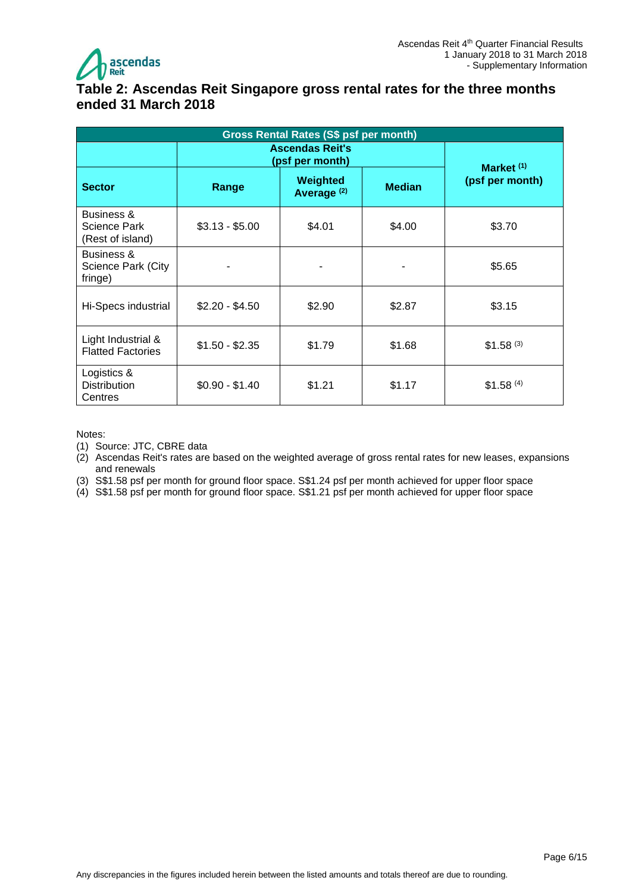

### <span id="page-5-0"></span>**Table 2: Ascendas Reit Singapore gross rental rates for the three months ended 31 March 2018**

| <b>Gross Rental Rates (S\$ psf per month)</b>  |                                           |                                    |               |                                 |  |  |  |
|------------------------------------------------|-------------------------------------------|------------------------------------|---------------|---------------------------------|--|--|--|
|                                                | <b>Ascendas Reit's</b><br>(psf per month) |                                    |               |                                 |  |  |  |
| <b>Sector</b>                                  | Range                                     | Weighted<br>Average <sup>(2)</sup> | <b>Median</b> | Market $(1)$<br>(psf per month) |  |  |  |
| Business &<br>Science Park<br>(Rest of island) | $$3.13 - $5.00$                           | \$4.01                             | \$4.00        | \$3.70                          |  |  |  |
| Business &<br>Science Park (City<br>fringe)    |                                           |                                    |               | \$5.65                          |  |  |  |
| Hi-Specs industrial                            | $$2.20 - $4.50$                           | \$2.90                             | \$2.87        | \$3.15                          |  |  |  |
| Light Industrial &<br><b>Flatted Factories</b> | $$1.50 - $2.35$                           | \$1.79                             | \$1.68        | \$1.58 <sup>(3)</sup>           |  |  |  |
| Logistics &<br><b>Distribution</b><br>Centres  | $$0.90 - $1.40$                           | \$1.21                             | \$1.17        | \$1.58 <sup>(4)</sup>           |  |  |  |

#### Notes:

(1) Source: JTC, CBRE data

(2) Ascendas Reit's rates are based on the weighted average of gross rental rates for new leases, expansions and renewals

(3) S\$1.58 psf per month for ground floor space. S\$1.24 psf per month achieved for upper floor space

(4) S\$1.58 psf per month for ground floor space. S\$1.21 psf per month achieved for upper floor space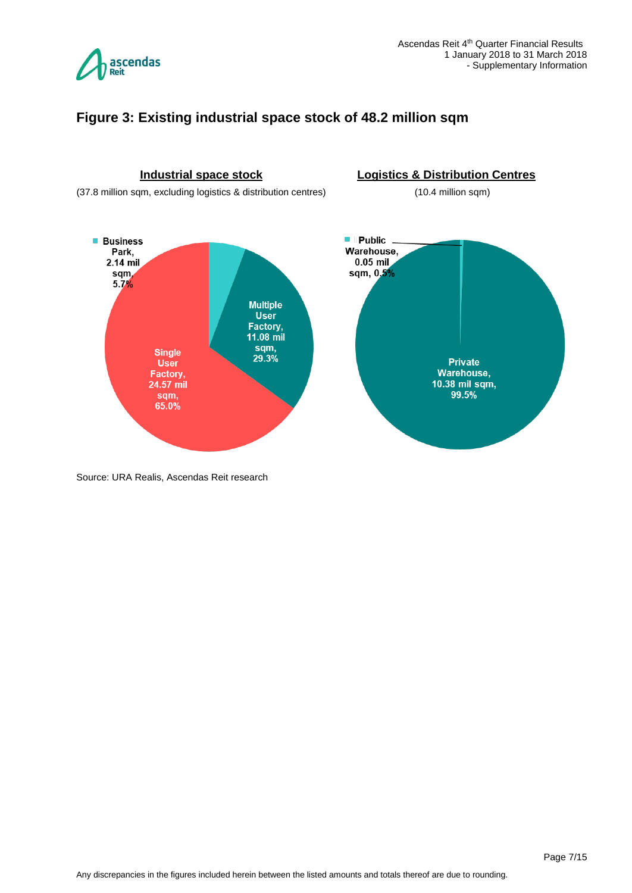

#### <span id="page-6-0"></span>**Figure 3: Existing industrial space stock of 48.2 million sqm**



Source: URA Realis, Ascendas Reit research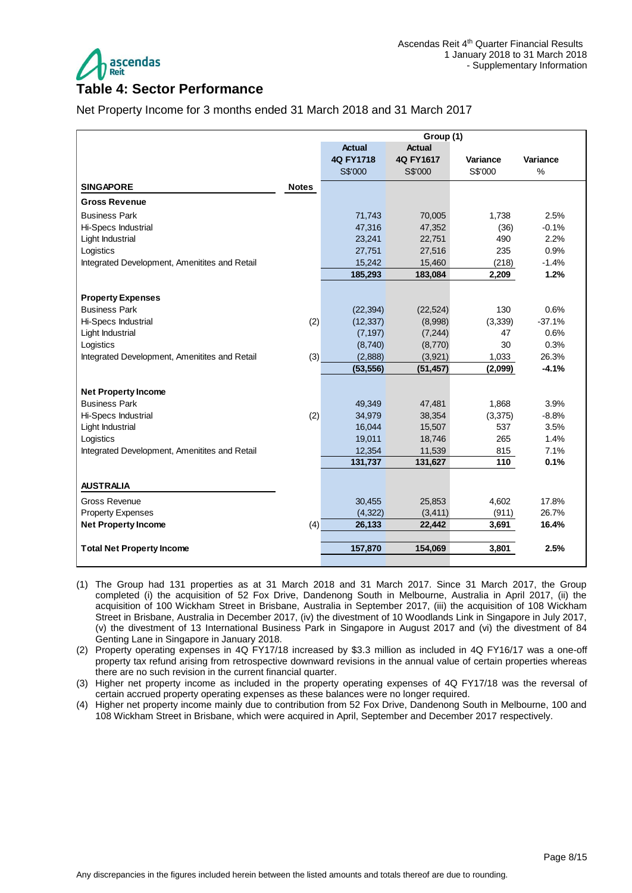

#### <span id="page-7-0"></span>**Table 4: Sector Performance**

Net Property Income for 3 months ended 31 March 2018 and 31 March 2017

|                                                  |              | Group (1)          |                      |                  |          |
|--------------------------------------------------|--------------|--------------------|----------------------|------------------|----------|
|                                                  |              | <b>Actual</b>      | <b>Actual</b>        |                  |          |
|                                                  |              | 4Q FY1718          | 4Q FY1617            | Variance         | Variance |
|                                                  |              | S\$'000            | S\$'000              | S\$'000          | $\%$     |
| <b>SINGAPORE</b>                                 | <b>Notes</b> |                    |                      |                  |          |
| <b>Gross Revenue</b>                             |              |                    |                      |                  |          |
| <b>Business Park</b>                             |              | 71,743             | 70,005               | 1,738            | 2.5%     |
| Hi-Specs Industrial                              |              | 47,316             | 47,352               | (36)             | $-0.1%$  |
| Light Industrial                                 |              | 23,241             | 22,751               | 490              | 2.2%     |
| Logistics                                        |              | 27,751             | 27,516               | 235              | 0.9%     |
| Integrated Development, Amenitites and Retail    |              | 15,242             | 15,460               | (218)            | $-1.4%$  |
|                                                  |              | 185,293            | 183,084              | 2,209            | 1.2%     |
|                                                  |              |                    |                      |                  |          |
| <b>Property Expenses</b><br><b>Business Park</b> |              |                    |                      | 130              | 0.6%     |
| Hi-Specs Industrial                              |              | (22, 394)          | (22, 524)            |                  | $-37.1%$ |
|                                                  | (2)          | (12, 337)          | (8,998)              | (3,339)<br>47    | 0.6%     |
| Light Industrial                                 |              | (7, 197)           | (7, 244)             | 30               | 0.3%     |
| Logistics                                        | (3)          | (8,740)<br>(2,888) | (8,770)              |                  | 26.3%    |
| Integrated Development, Amenitites and Retail    |              | (53, 556)          | (3,921)<br>(51, 457) | 1,033<br>(2,099) | $-4.1%$  |
|                                                  |              |                    |                      |                  |          |
| <b>Net Property Income</b>                       |              |                    |                      |                  |          |
| <b>Business Park</b>                             |              | 49,349             | 47,481               | 1,868            | 3.9%     |
| Hi-Specs Industrial                              | (2)          | 34,979             | 38,354               | (3,375)          | $-8.8%$  |
| Light Industrial                                 |              | 16,044             | 15,507               | 537              | 3.5%     |
| Logistics                                        |              | 19,011             | 18,746               | 265              | 1.4%     |
| Integrated Development, Amenitites and Retail    |              | 12,354             | 11,539               | 815              | 7.1%     |
|                                                  |              | 131,737            | 131,627              | 110              | 0.1%     |
| <b>AUSTRALIA</b>                                 |              |                    |                      |                  |          |
| Gross Revenue                                    |              | 30,455             | 25,853               | 4,602            | 17.8%    |
| <b>Property Expenses</b>                         |              | (4, 322)           | (3, 411)             | (911)            | 26.7%    |
|                                                  |              |                    |                      | 3,691            | 16.4%    |
| <b>Net Property Income</b>                       | (4)          | 26,133             | 22,442               |                  |          |
| <b>Total Net Property Income</b>                 |              | 157,870            | 154,069              | 3,801            | 2.5%     |
|                                                  |              |                    |                      |                  |          |

- (1) The Group had 131 properties as at 31 March 2018 and 31 March 2017. Since 31 March 2017, the Group completed (i) the acquisition of 52 Fox Drive, Dandenong South in Melbourne, Australia in April 2017, (ii) the acquisition of 100 Wickham Street in Brisbane, Australia in September 2017, (iii) the acquisition of 108 Wickham Street in Brisbane, Australia in December 2017, (iv) the divestment of 10 Woodlands Link in Singapore in July 2017, (v) the divestment of 13 International Business Park in Singapore in August 2017 and (vi) the divestment of 84 Genting Lane in Singapore in January 2018.
- (2) Property operating expenses in 4Q FY17/18 increased by \$3.3 million as included in 4Q FY16/17 was a one-off property tax refund arising from retrospective downward revisions in the annual value of certain properties whereas there are no such revision in the current financial quarter.
- (3) Higher net property income as included in the property operating expenses of 4Q FY17/18 was the reversal of certain accrued property operating expenses as these balances were no longer required.
- (4) Higher net property income mainly due to contribution from 52 Fox Drive, Dandenong South in Melbourne, 100 and 108 Wickham Street in Brisbane, which were acquired in April, September and December 2017 respectively.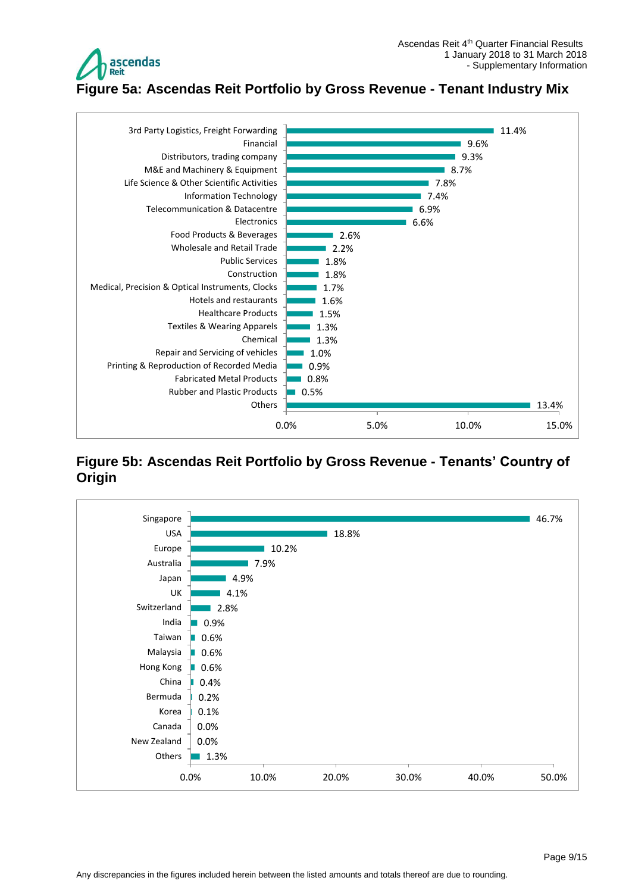

<span id="page-8-0"></span>**Figure 5a: Ascendas Reit Portfolio by Gross Revenue - Tenant Industry Mix**



#### <span id="page-8-1"></span>**Figure 5b: Ascendas Reit Portfolio by Gross Revenue - Tenants' Country of Origin**

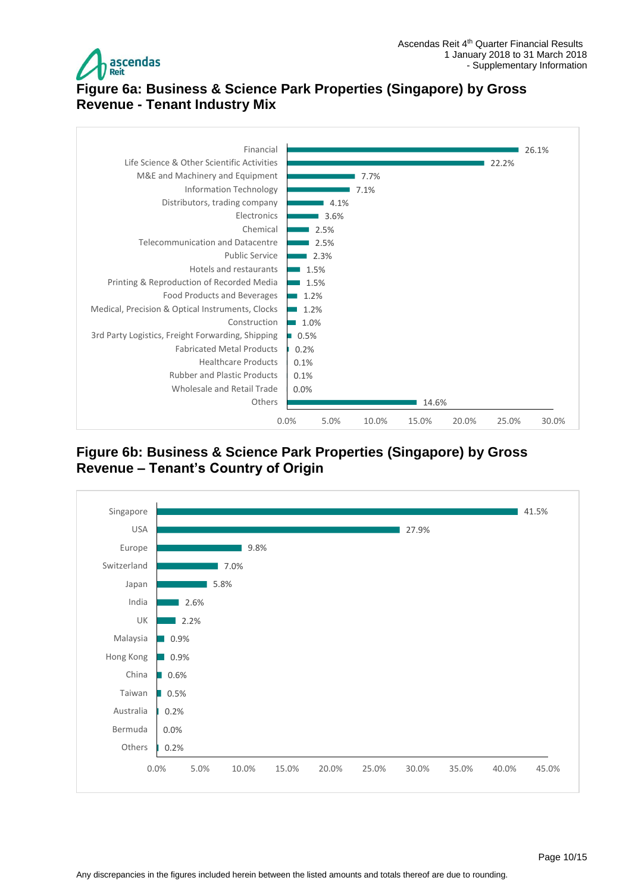

## <span id="page-9-0"></span>**Figure 6a: Business & Science Park Properties (Singapore) by Gross Revenue - Tenant Industry Mix**



<span id="page-9-1"></span>**Figure 6b: Business & Science Park Properties (Singapore) by Gross Revenue – Tenant's Country of Origin**

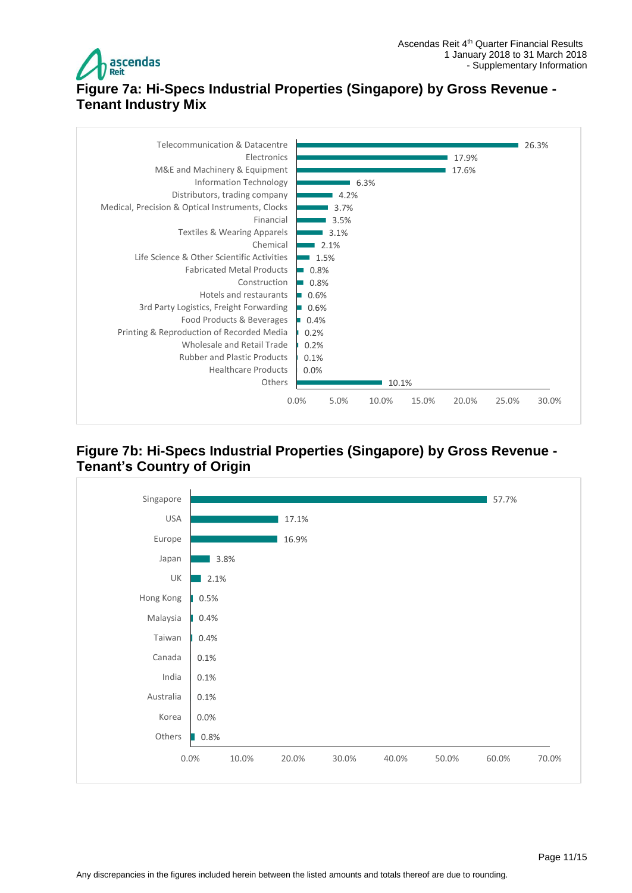

# <span id="page-10-0"></span>**Figure 7a: Hi-Specs Industrial Properties (Singapore) by Gross Revenue - Tenant Industry Mix**



#### <span id="page-10-1"></span>**Figure 7b: Hi-Specs Industrial Properties (Singapore) by Gross Revenue - Tenant's Country of Origin**

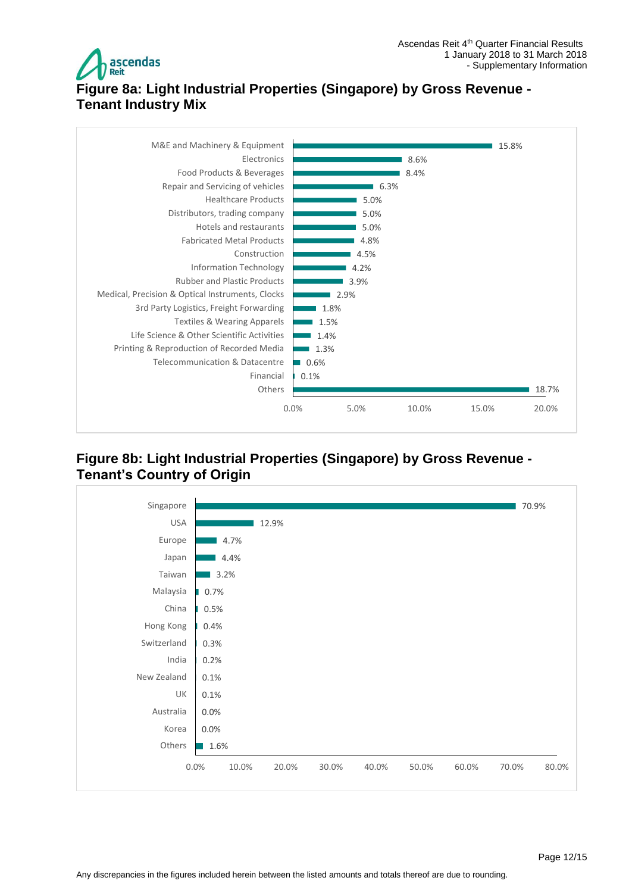

# <span id="page-11-0"></span>**Figure 8a: Light Industrial Properties (Singapore) by Gross Revenue - Tenant Industry Mix**



#### <span id="page-11-1"></span>**Figure 8b: Light Industrial Properties (Singapore) by Gross Revenue - Tenant's Country of Origin**

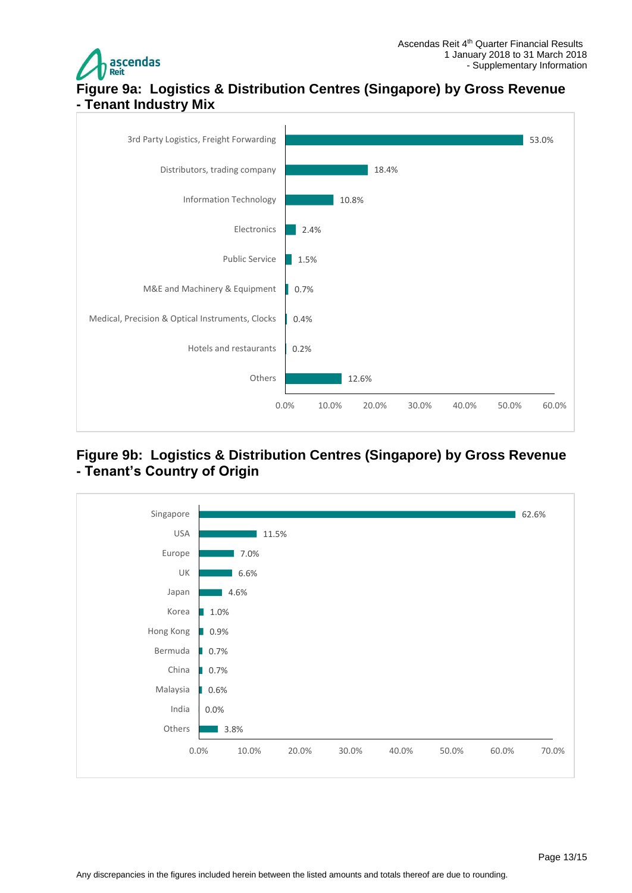

## <span id="page-12-0"></span>**Figure 9a: Logistics & Distribution Centres (Singapore) by Gross Revenue - Tenant Industry Mix**



#### <span id="page-12-1"></span>**Figure 9b: Logistics & Distribution Centres (Singapore) by Gross Revenue - Tenant's Country of Origin**

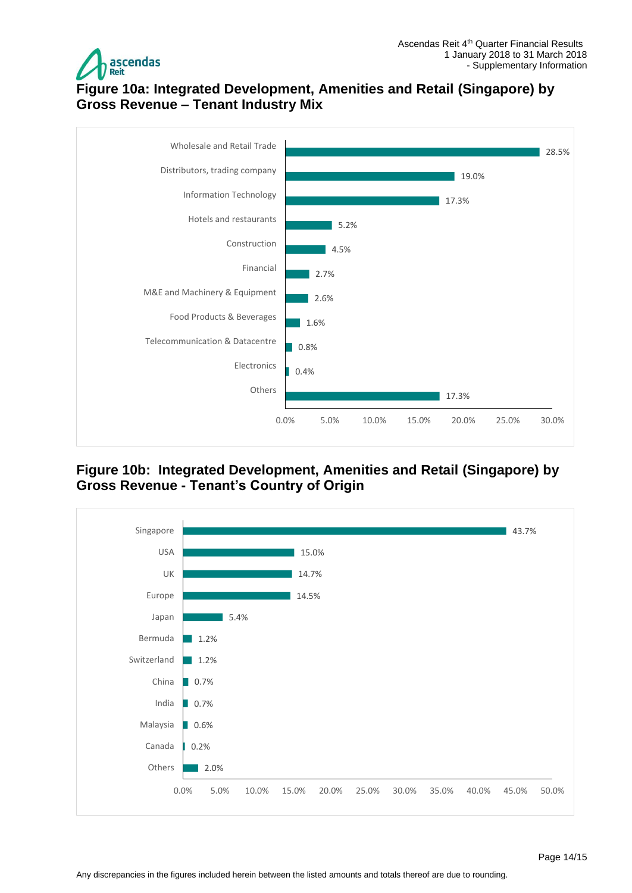

## <span id="page-13-0"></span>**Figure 10a: Integrated Development, Amenities and Retail (Singapore) by Gross Revenue – Tenant Industry Mix**



<span id="page-13-1"></span>**Figure 10b: Integrated Development, Amenities and Retail (Singapore) by Gross Revenue - Tenant's Country of Origin**